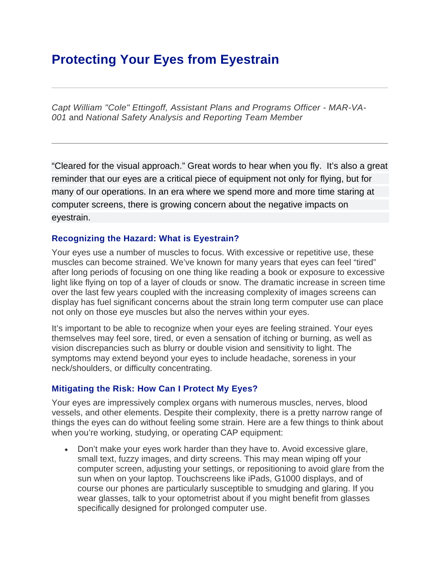# **Protecting Your Eyes from Eyestrain**

*Capt William "Cole" Ettingoff, Assistant Plans and Programs Officer - MAR-VA-001* and *National Safety Analysis and Reporting Team Member*

"Cleared for the visual approach." Great words to hear when you fly. It's also a great reminder that our eyes are a critical piece of equipment not only for flying, but for many of our operations. In an era where we spend more and more time staring at computer screens, there is growing concern about the negative impacts on eyestrain.

## **Recognizing the Hazard: What is Eyestrain?**

Your eyes use a number of muscles to focus. With excessive or repetitive use, these muscles can become strained. We've known for many years that eyes can feel "tired" after long periods of focusing on one thing like reading a book or exposure to excessive light like flying on top of a layer of clouds or snow. The dramatic increase in screen time over the last few years coupled with the increasing complexity of images screens can display has fuel significant concerns about the strain long term computer use can place not only on those eye muscles but also the nerves within your eyes.

It's important to be able to recognize when your eyes are feeling strained. Your eyes themselves may feel sore, tired, or even a sensation of itching or burning, as well as vision discrepancies such as blurry or double vision and sensitivity to light. The symptoms may extend beyond your eyes to include headache, soreness in your neck/shoulders, or difficulty concentrating.

### **Mitigating the Risk: How Can I Protect My Eyes?**

Your eyes are impressively complex organs with numerous muscles, nerves, blood vessels, and other elements. Despite their complexity, there is a pretty narrow range of things the eyes can do without feeling some strain. Here are a few things to think about when you're working, studying, or operating CAP equipment:

• Don't make your eyes work harder than they have to. Avoid excessive glare, small text, fuzzy images, and dirty screens. This may mean wiping off your computer screen, adjusting your settings, or repositioning to avoid glare from the sun when on your laptop. Touchscreens like iPads, G1000 displays, and of course our phones are particularly susceptible to smudging and glaring. If you wear glasses, talk to your optometrist about if you might benefit from glasses specifically designed for prolonged computer use.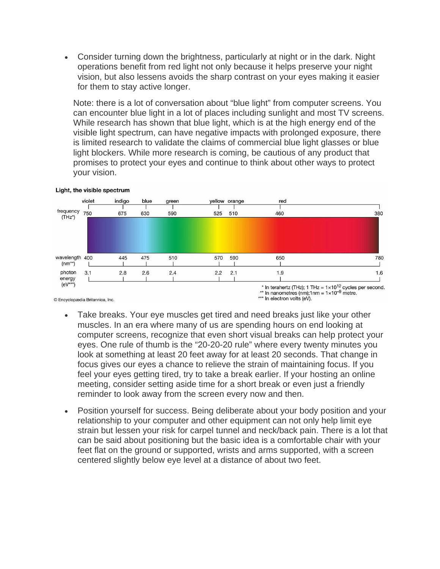• Consider turning down the brightness, particularly at night or in the dark. Night operations benefit from red light not only because it helps preserve your night vision, but also lessens avoids the sharp contrast on your eyes making it easier for them to stay active longer.

Note: there is a lot of conversation about "blue light" from computer screens. You can encounter blue light in a lot of places including sunlight and most TV screens. While research has shown that blue light, which is at the high energy end of the visible light spectrum, can have negative impacts with prolonged exposure, there is limited research to validate the claims of commercial blue light glasses or blue light blockers. While more research is coming, be cautious of any product that promises to protect your eyes and continue to think about other ways to protect your vision.



#### Light, the visible spectrum

© Encyclopædia Britannica, Inc.

- Take breaks. Your eye muscles get tired and need breaks just like your other muscles. In an era where many of us are spending hours on end looking at computer screens, recognize that even short visual breaks can help protect your eyes. One rule of thumb is the "20-20-20 rule" where every twenty minutes you look at something at least 20 feet away for at least 20 seconds. That change in focus gives our eyes a chance to relieve the strain of maintaining focus. If you feel your eyes getting tired, try to take a break earlier. If your hosting an online meeting, consider setting aside time for a short break or even just a friendly reminder to look away from the screen every now and then.
- Position yourself for success. Being deliberate about your body position and your relationship to your computer and other equipment can not only help limit eye strain but lessen your risk for carpel tunnel and neck/back pain. There is a lot that can be said about positioning but the basic idea is a comfortable chair with your feet flat on the ground or supported, wrists and arms supported, with a screen centered slightly below eye level at a distance of about two feet.

<sup>\*</sup> In terahertz (THz); 1 THz =  $1 \times 10^{12}$  cycles per second. \*\* In nanometres (nm);  $1nm = 1 \times 10^{-9}$  metre. \*\*\* In electron volts (eV).